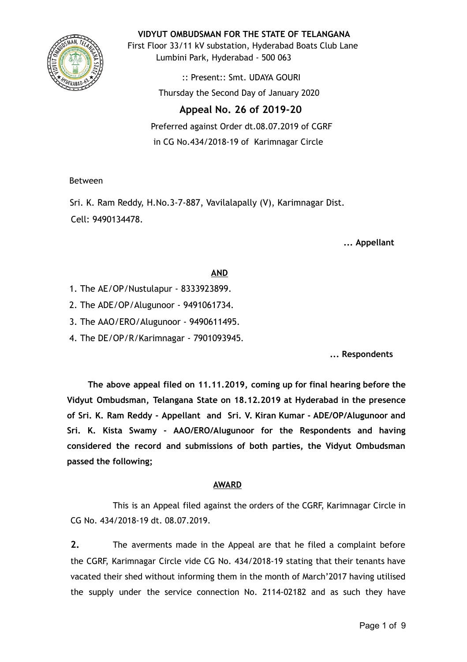

**VIDYUT OMBUDSMAN FOR THE STATE OF TELANGANA**

First Floor 33/11 kV substation, Hyderabad Boats Club Lane Lumbini Park, Hyderabad - 500 063

> :: Present:: Smt. UDAYA GOURI Thursday the Second Day of January 2020

# **Appeal No. 26 of 2019-20**

Preferred against Order dt.08.07.2019 of CGRF in CG No.434/2018-19 of Karimnagar Circle

Between

Sri. K. Ram Reddy, H.No.3-7-887, Vavilalapally (V), Karimnagar Dist. Cell: 9490134478.

**... Appellant**

## **AND**

- 1. The AE/OP/Nustulapur 8333923899.
- 2. The ADE/OP/Alugunoor 9491061734.
- 3. The AAO/ERO/Alugunoor 9490611495.
- 4. The DE/OP/R/Karimnagar 7901093945.

**... Respondents**

**The above appeal filed on 11.11.2019, coming up for final hearing before the Vidyut Ombudsman, Telangana State on 18.12.2019 at Hyderabad in the presence of Sri. K. Ram Reddy - Appellant and Sri. V. Kiran Kumar - ADE/OP/Alugunoor and Sri. K. Kista Swamy - AAO/ERO/Alugunoor for the Respondents and having considered the record and submissions of both parties, the Vidyut Ombudsman passed the following;**

### **AWARD**

This is an Appeal filed against the orders of the CGRF, Karimnagar Circle in CG No. 434/2018-19 dt. 08.07.2019.

**2.** The averments made in the Appeal are that he filed a complaint before the CGRF, Karimnagar Circle vide CG No. 434/2018-19 stating that their tenants have vacated their shed without informing them in the month of March'2017 having utilised the supply under the service connection No. 2114-02182 and as such they have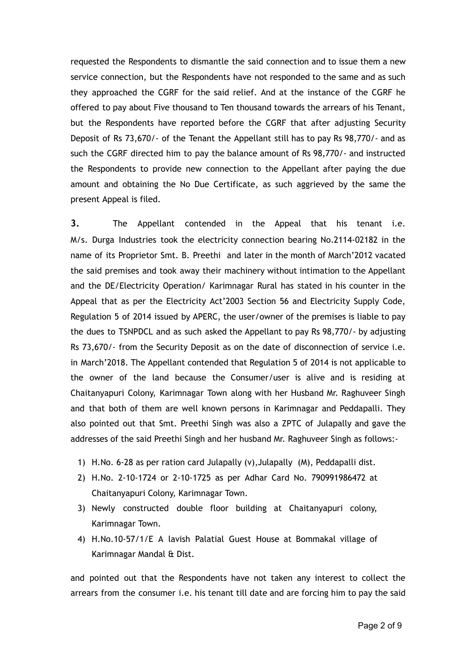requested the Respondents to dismantle the said connection and to issue them a new service connection, but the Respondents have not responded to the same and as such they approached the CGRF for the said relief. And at the instance of the CGRF he offered to pay about Five thousand to Ten thousand towards the arrears of his Tenant, but the Respondents have reported before the CGRF that after adjusting Security Deposit of Rs 73,670/- of the Tenant the Appellant still has to pay Rs 98,770/- and as such the CGRF directed him to pay the balance amount of Rs 98,770/- and instructed the Respondents to provide new connection to the Appellant after paying the due amount and obtaining the No Due Certificate, as such aggrieved by the same the present Appeal is filed.

**3.** The Appellant contended in the Appeal that his tenant i.e. M/s. Durga Industries took the electricity connection bearing No.2114-02182 in the name of its Proprietor Smt. B. Preethi and later in the month of March'2012 vacated the said premises and took away their machinery without intimation to the Appellant and the DE/Electricity Operation/ Karimnagar Rural has stated in his counter in the Appeal that as per the Electricity Act'2003 Section 56 and Electricity Supply Code, Regulation 5 of 2014 issued by APERC, the user/owner of the premises is liable to pay the dues to TSNPDCL and as such asked the Appellant to pay Rs 98,770/- by adjusting Rs 73,670/- from the Security Deposit as on the date of disconnection of service i.e. in March'2018. The Appellant contended that Regulation 5 of 2014 is not applicable to the owner of the land because the Consumer/user is alive and is residing at Chaitanyapuri Colony, Karimnagar Town along with her Husband Mr. Raghuveer Singh and that both of them are well known persons in Karimnagar and Peddapalli. They also pointed out that Smt. Preethi Singh was also a ZPTC of Julapally and gave the addresses of the said Preethi Singh and her husband Mr. Raghuveer Singh as follows:-

- 1) H.No. 6-28 as per ration card Julapally (v),Julapally (M), Peddapalli dist.
- 2) H.No. 2-10-1724 or 2-10-1725 as per Adhar Card No. 790991986472 at Chaitanyapuri Colony, Karimnagar Town.
- 3) Newly constructed double floor building at Chaitanyapuri colony, Karimnagar Town.
- 4) H.No.10-57/1/E A lavish Palatial Guest House at Bommakal village of Karimnagar Mandal & Dist.

and pointed out that the Respondents have not taken any interest to collect the arrears from the consumer i.e. his tenant till date and are forcing him to pay the said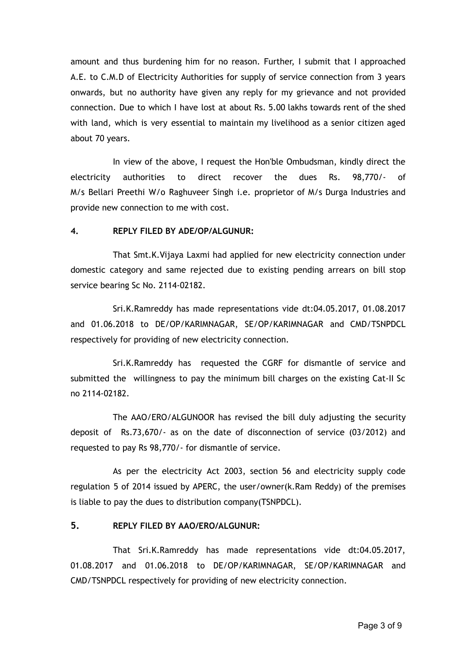amount and thus burdening him for no reason. Further, I submit that I approached A.E. to C.M.D of Electricity Authorities for supply of service connection from 3 years onwards, but no authority have given any reply for my grievance and not provided connection. Due to which I have lost at about Rs. 5.00 lakhs towards rent of the shed with land, which is very essential to maintain my livelihood as a senior citizen aged about 70 years.

In view of the above, I request the Hon'ble Ombudsman, kindly direct the electricity authorities to direct recover the dues Rs. 98,770/- of M/s Bellari Preethi W/o Raghuveer Singh i.e. proprietor of M/s Durga Industries and provide new connection to me with cost.

#### **4. REPLY FILED BY ADE/OP/ALGUNUR:**

That Smt.K.Vijaya Laxmi had applied for new electricity connection under domestic category and same rejected due to existing pending arrears on bill stop service bearing Sc No. 2114-02182.

Sri.K.Ramreddy has made representations vide dt:04.05.2017, 01.08.2017 and 01.06.2018 to DE/OP/KARIMNAGAR, SE/OP/KARIMNAGAR and CMD/TSNPDCL respectively for providing of new electricity connection.

Sri.K.Ramreddy has requested the CGRF for dismantle of service and submitted the willingness to pay the minimum bill charges on the existing Cat-II Sc no 2114-02182.

The AAO/ERO/ALGUNOOR has revised the bill duly adjusting the security deposit of Rs.73,670/- as on the date of disconnection of service (03/2012) and requested to pay Rs 98,770/- for dismantle of service.

As per the electricity Act 2003, section 56 and electricity supply code regulation 5 of 2014 issued by APERC, the user/owner(k.Ram Reddy) of the premises is liable to pay the dues to distribution company(TSNPDCL).

#### **5. REPLY FILED BY AAO/ERO/ALGUNUR:**

That Sri.K.Ramreddy has made representations vide dt:04.05.2017, 01.08.2017 and 01.06.2018 to DE/OP/KARIMNAGAR, SE/OP/KARIMNAGAR and CMD/TSNPDCL respectively for providing of new electricity connection.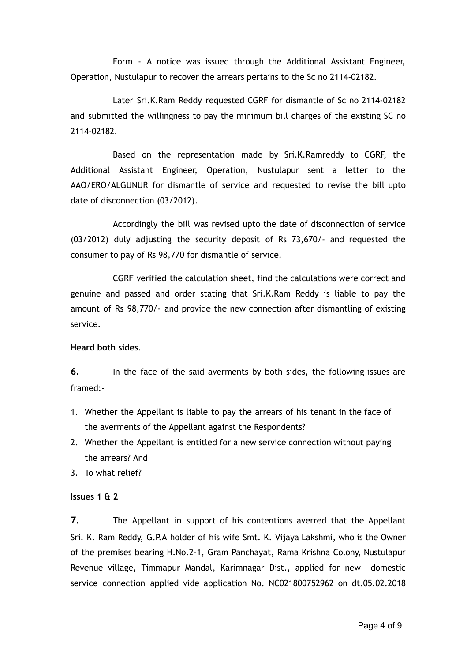Form - A notice was issued through the Additional Assistant Engineer, Operation, Nustulapur to recover the arrears pertains to the Sc no 2114-02182.

Later Sri.K.Ram Reddy requested CGRF for dismantle of Sc no 2114-02182 and submitted the willingness to pay the minimum bill charges of the existing SC no 2114-02182.

Based on the representation made by Sri.K.Ramreddy to CGRF, the Additional Assistant Engineer, Operation, Nustulapur sent a letter to the AAO/ERO/ALGUNUR for dismantle of service and requested to revise the bill upto date of disconnection (03/2012).

Accordingly the bill was revised upto the date of disconnection of service (03/2012) duly adjusting the security deposit of Rs 73,670/- and requested the consumer to pay of Rs 98,770 for dismantle of service.

CGRF verified the calculation sheet, find the calculations were correct and genuine and passed and order stating that Sri.K.Ram Reddy is liable to pay the amount of Rs 98,770/- and provide the new connection after dismantling of existing service.

#### **Heard both sides**.

**6.** In the face of the said averments by both sides, the following issues are framed:-

- 1. Whether the Appellant is liable to pay the arrears of his tenant in the face of the averments of the Appellant against the Respondents?
- 2. Whether the Appellant is entitled for a new service connection without paying the arrears? And
- 3. To what relief?

#### **Issues 1 & 2**

**7.** The Appellant in support of his contentions averred that the Appellant Sri. K. Ram Reddy, G.P.A holder of his wife Smt. K. Vijaya Lakshmi, who is the Owner of the premises bearing H.No.2-1, Gram Panchayat, Rama Krishna Colony, Nustulapur Revenue village, Timmapur Mandal, Karimnagar Dist., applied for new domestic service connection applied vide application No. NC021800752962 on dt.05.02.2018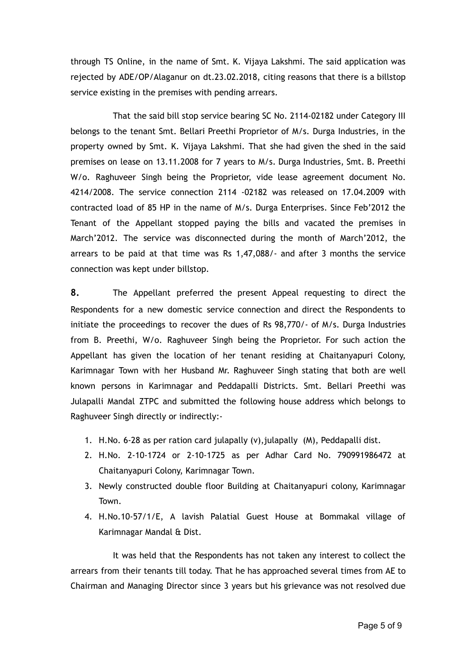through TS Online, in the name of Smt. K. Vijaya Lakshmi. The said application was rejected by ADE/OP/Alaganur on dt.23.02.2018, citing reasons that there is a billstop service existing in the premises with pending arrears.

That the said bill stop service bearing SC No. 2114-02182 under Category III belongs to the tenant Smt. Bellari Preethi Proprietor of M/s. Durga Industries, in the property owned by Smt. K. Vijaya Lakshmi. That she had given the shed in the said premises on lease on 13.11.2008 for 7 years to M/s. Durga Industries, Smt. B. Preethi W/o. Raghuveer Singh being the Proprietor, vide lease agreement document No. 4214/2008. The service connection 2114 -02182 was released on 17.04.2009 with contracted load of 85 HP in the name of M/s. Durga Enterprises. Since Feb'2012 the Tenant of the Appellant stopped paying the bills and vacated the premises in March'2012. The service was disconnected during the month of March'2012, the arrears to be paid at that time was Rs 1,47,088/- and after 3 months the service connection was kept under billstop.

**8.** The Appellant preferred the present Appeal requesting to direct the Respondents for a new domestic service connection and direct the Respondents to initiate the proceedings to recover the dues of Rs 98,770/- of M/s. Durga Industries from B. Preethi, W/o. Raghuveer Singh being the Proprietor. For such action the Appellant has given the location of her tenant residing at Chaitanyapuri Colony, Karimnagar Town with her Husband Mr. Raghuveer Singh stating that both are well known persons in Karimnagar and Peddapalli Districts. Smt. Bellari Preethi was Julapalli Mandal ZTPC and submitted the following house address which belongs to Raghuveer Singh directly or indirectly:-

- 1. H.No. 6-28 as per ration card julapally (v),julapally (M), Peddapalli dist.
- 2. H.No. 2-10-1724 or 2-10-1725 as per Adhar Card No. 790991986472 at Chaitanyapuri Colony, Karimnagar Town.
- 3. Newly constructed double floor Building at Chaitanyapuri colony, Karimnagar Town.
- 4. H.No.10-57/1/E, A lavish Palatial Guest House at Bommakal village of Karimnagar Mandal & Dist.

It was held that the Respondents has not taken any interest to collect the arrears from their tenants till today. That he has approached several times from AE to Chairman and Managing Director since 3 years but his grievance was not resolved due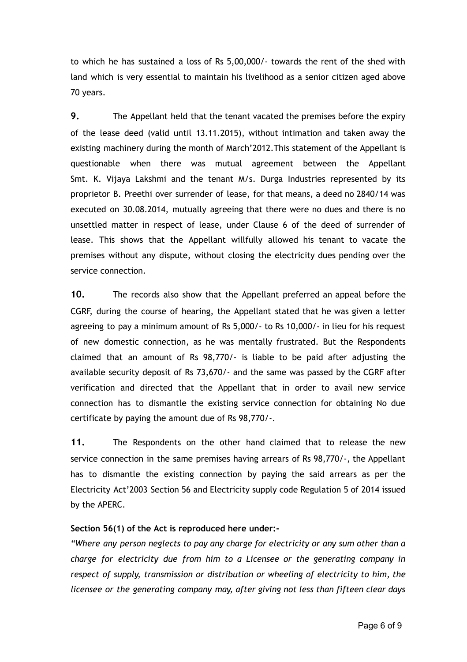to which he has sustained a loss of Rs 5,00,000/- towards the rent of the shed with land which is very essential to maintain his livelihood as a senior citizen aged above 70 years.

**9.** The Appellant held that the tenant vacated the premises before the expiry of the lease deed (valid until 13.11.2015), without intimation and taken away the existing machinery during the month of March'2012.This statement of the Appellant is questionable when there was mutual agreement between the Appellant Smt. K. Vijaya Lakshmi and the tenant M/s. Durga Industries represented by its proprietor B. Preethi over surrender of lease, for that means, a deed no 2840/14 was executed on 30.08.2014, mutually agreeing that there were no dues and there is no unsettled matter in respect of lease, under Clause 6 of the deed of surrender of lease. This shows that the Appellant willfully allowed his tenant to vacate the premises without any dispute, without closing the electricity dues pending over the service connection.

**10.** The records also show that the Appellant preferred an appeal before the CGRF, during the course of hearing, the Appellant stated that he was given a letter agreeing to pay a minimum amount of Rs 5,000/- to Rs 10,000/- in lieu for his request of new domestic connection, as he was mentally frustrated. But the Respondents claimed that an amount of Rs 98,770/- is liable to be paid after adjusting the available security deposit of Rs 73,670/- and the same was passed by the CGRF after verification and directed that the Appellant that in order to avail new service connection has to dismantle the existing service connection for obtaining No due certificate by paying the amount due of Rs 98,770/-.

**11.** The Respondents on the other hand claimed that to release the new service connection in the same premises having arrears of Rs 98,770/-, the Appellant has to dismantle the existing connection by paying the said arrears as per the Electricity Act'2003 Section 56 and Electricity supply code Regulation 5 of 2014 issued by the APERC.

#### **Section 56(1) of the Act is reproduced here under:-**

*"Where any person neglects to pay any charge for electricity or any sum other than a charge for electricity due from him to a Licensee or the generating company in respect of supply, transmission or distribution or wheeling of electricity to him, the licensee or the generating company may, after giving not less than fifteen clear days*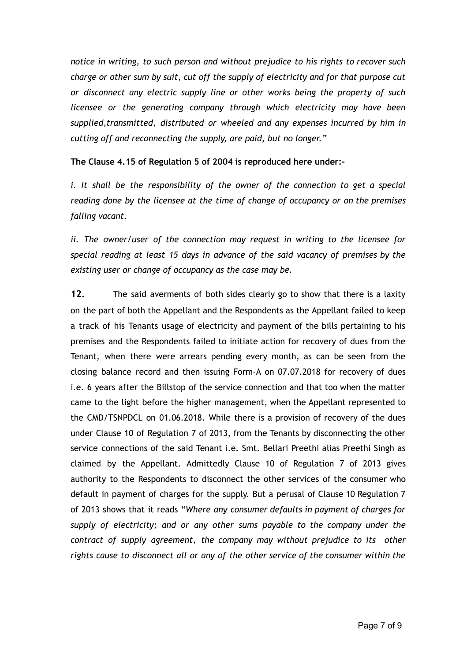*notice in writing, to such person and without prejudice to his rights to recover such charge or other sum by suit, cut off the supply of electricity and for that purpose cut or disconnect any electric supply line or other works being the property of such licensee or the generating company through which electricity may have been supplied,transmitted, distributed or wheeled and any expenses incurred by him in cutting off and reconnecting the supply, are paid, but no longer."*

**The Clause 4.15 of Regulation 5 of 2004 is reproduced here under:-**

*i. It shall be the responsibility of the owner of the connection to get a special reading done by the licensee at the time of change of occupancy or on the premises falling vacant.*

*ii. The owner/user of the connection may request in writing to the licensee for special reading at least 15 days in advance of the said vacancy of premises by the existing user or change of occupancy as the case may be.*

**12.** The said averments of both sides clearly go to show that there is a laxity on the part of both the Appellant and the Respondents as the Appellant failed to keep a track of his Tenants usage of electricity and payment of the bills pertaining to his premises and the Respondents failed to initiate action for recovery of dues from the Tenant, when there were arrears pending every month, as can be seen from the closing balance record and then issuing Form-A on 07.07.2018 for recovery of dues i.e. 6 years after the Billstop of the service connection and that too when the matter came to the light before the higher management, when the Appellant represented to the CMD/TSNPDCL on 01.06.2018. While there is a provision of recovery of the dues under Clause 10 of Regulation 7 of 2013, from the Tenants by disconnecting the other service connections of the said Tenant i.e. Smt. Bellari Preethi alias Preethi Singh as claimed by the Appellant. Admittedly Clause 10 of Regulation 7 of 2013 gives authority to the Respondents to disconnect the other services of the consumer who default in payment of charges for the supply. But a perusal of Clause 10 Regulation 7 of 2013 shows that it reads "*Where any consumer defaults in payment of charges for supply of electricity; and or any other sums payable to the company under the contract of supply agreement, the company may without prejudice to its other rights cause to disconnect all or any of the other service of the consumer within the*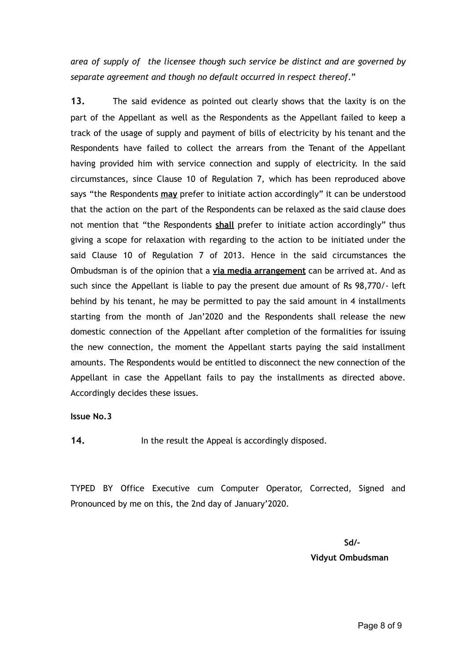*area of supply of the licensee though such service be distinct and are governed by separate agreement and though no default occurred in respect thereof*."

**13.** The said evidence as pointed out clearly shows that the laxity is on the part of the Appellant as well as the Respondents as the Appellant failed to keep a track of the usage of supply and payment of bills of electricity by his tenant and the Respondents have failed to collect the arrears from the Tenant of the Appellant having provided him with service connection and supply of electricity. In the said circumstances, since Clause 10 of Regulation 7, which has been reproduced above says "the Respondents **may** prefer to initiate action accordingly" it can be understood that the action on the part of the Respondents can be relaxed as the said clause does not mention that "the Respondents **shall** prefer to initiate action accordingly" thus giving a scope for relaxation with regarding to the action to be initiated under the said Clause 10 of Regulation 7 of 2013. Hence in the said circumstances the Ombudsman is of the opinion that a **via media arrangement** can be arrived at. And as such since the Appellant is liable to pay the present due amount of Rs 98,770/- left behind by his tenant, he may be permitted to pay the said amount in 4 installments starting from the month of Jan'2020 and the Respondents shall release the new domestic connection of the Appellant after completion of the formalities for issuing the new connection, the moment the Appellant starts paying the said installment amounts. The Respondents would be entitled to disconnect the new connection of the Appellant in case the Appellant fails to pay the installments as directed above. Accordingly decides these issues.

**Issue No.3** 

14. **In the result the Appeal is accordingly disposed.** 

TYPED BY Office Executive cum Computer Operator, Corrected, Signed and Pronounced by me on this, the 2nd day of January'2020.

**Sd/-**

**Vidyut Ombudsman**